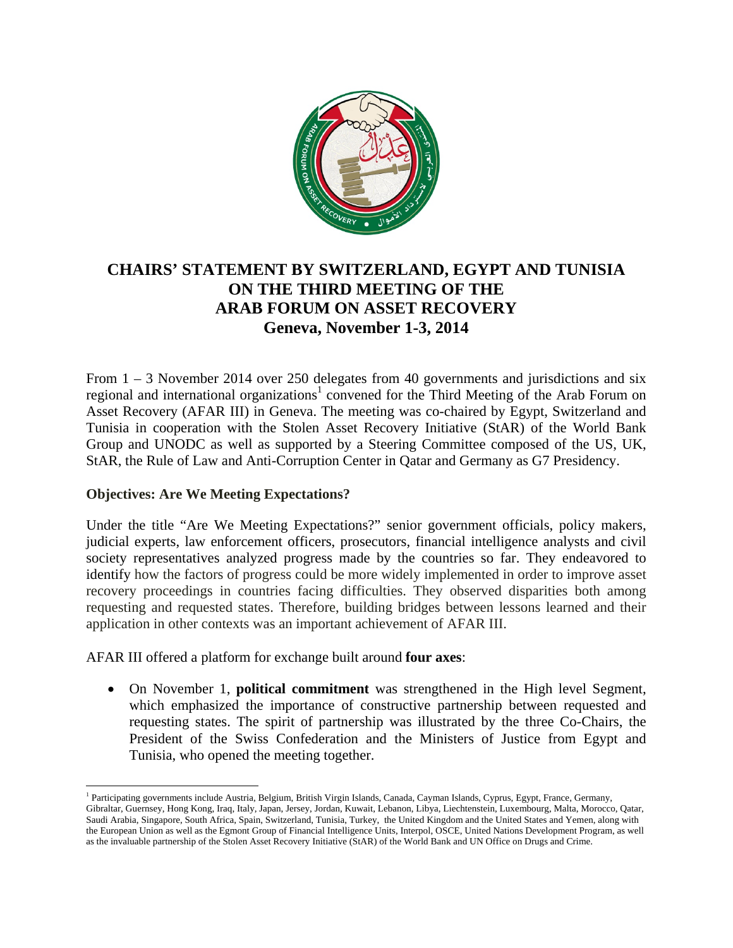

## **CHAIRS' STATEMENT BY SWITZERLAND, EGYPT AND TUNISIA ON THE THIRD MEETING OF THE ARAB FORUM ON ASSET RECOVERY Geneva, November 1-3, 2014**

From 1 – 3 November 2014 over 250 delegates from 40 governments and jurisdictions and six regional and international organizations<sup>1</sup> convened for the Third Meeting of the Arab Forum on Asset Recovery (AFAR III) in Geneva. The meeting was co-chaired by Egypt, Switzerland and Tunisia in cooperation with the Stolen Asset Recovery Initiative (StAR) of the World Bank Group and UNODC as well as supported by a Steering Committee composed of the US, UK, StAR, the Rule of Law and Anti-Corruption Center in Qatar and Germany as G7 Presidency.

## **Objectives: Are We Meeting Expectations?**

Under the title "Are We Meeting Expectations?" senior government officials, policy makers, judicial experts, law enforcement officers, prosecutors, financial intelligence analysts and civil society representatives analyzed progress made by the countries so far. They endeavored to identify how the factors of progress could be more widely implemented in order to improve asset recovery proceedings in countries facing difficulties. They observed disparities both among requesting and requested states. Therefore, building bridges between lessons learned and their application in other contexts was an important achievement of AFAR III.

AFAR III offered a platform for exchange built around **four axes**:

 On November 1, **political commitment** was strengthened in the High level Segment, which emphasized the importance of constructive partnership between requested and requesting states. The spirit of partnership was illustrated by the three Co-Chairs, the President of the Swiss Confederation and the Ministers of Justice from Egypt and Tunisia, who opened the meeting together.

<sup>&</sup>lt;sup>1</sup> Participating governments include Austria, Belgium, British Virgin Islands, Canada, Cayman Islands, Cyprus, Egypt, France, Germany, Gibraltar, Guernsey, Hong Kong, Iraq, Italy, Japan, Jersey, Jordan, Kuwait, Lebanon, Libya, Liechtenstein, Luxembourg, Malta, Morocco, Qatar, Saudi Arabia, Singapore, South Africa, Spain, Switzerland, Tunisia, Turkey, the United Kingdom and the United States and Yemen, along with the European Union as well as the Egmont Group of Financial Intelligence Units, Interpol, OSCE, United Nations Development Program, as well as the invaluable partnership of the Stolen Asset Recovery Initiative (StAR) of the World Bank and UN Office on Drugs and Crime.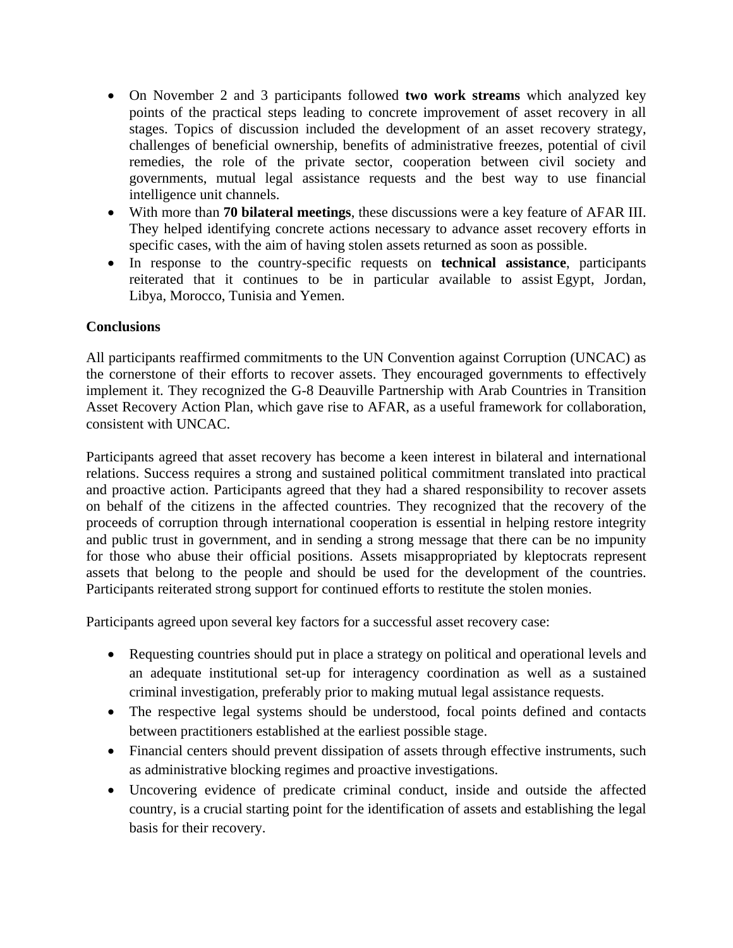- On November 2 and 3 participants followed **two work streams** which analyzed key points of the practical steps leading to concrete improvement of asset recovery in all stages. Topics of discussion included the development of an asset recovery strategy, challenges of beneficial ownership, benefits of administrative freezes, potential of civil remedies, the role of the private sector, cooperation between civil society and governments, mutual legal assistance requests and the best way to use financial intelligence unit channels.
- With more than **70 bilateral meetings**, these discussions were a key feature of AFAR III. They helped identifying concrete actions necessary to advance asset recovery efforts in specific cases, with the aim of having stolen assets returned as soon as possible.
- In response to the country-specific requests on **technical assistance**, participants reiterated that it continues to be in particular available to assist Egypt, Jordan, Libya, Morocco, Tunisia and Yemen.

## **Conclusions**

All participants reaffirmed commitments to the UN Convention against Corruption (UNCAC) as the cornerstone of their efforts to recover assets. They encouraged governments to effectively implement it. They recognized the G-8 Deauville Partnership with Arab Countries in Transition Asset Recovery Action Plan, which gave rise to AFAR, as a useful framework for collaboration, consistent with UNCAC.

Participants agreed that asset recovery has become a keen interest in bilateral and international relations. Success requires a strong and sustained political commitment translated into practical and proactive action. Participants agreed that they had a shared responsibility to recover assets on behalf of the citizens in the affected countries. They recognized that the recovery of the proceeds of corruption through international cooperation is essential in helping restore integrity and public trust in government, and in sending a strong message that there can be no impunity for those who abuse their official positions. Assets misappropriated by kleptocrats represent assets that belong to the people and should be used for the development of the countries. Participants reiterated strong support for continued efforts to restitute the stolen monies.

Participants agreed upon several key factors for a successful asset recovery case:

- Requesting countries should put in place a strategy on political and operational levels and an adequate institutional set-up for interagency coordination as well as a sustained criminal investigation, preferably prior to making mutual legal assistance requests.
- The respective legal systems should be understood, focal points defined and contacts between practitioners established at the earliest possible stage.
- Financial centers should prevent dissipation of assets through effective instruments, such as administrative blocking regimes and proactive investigations.
- Uncovering evidence of predicate criminal conduct, inside and outside the affected country, is a crucial starting point for the identification of assets and establishing the legal basis for their recovery.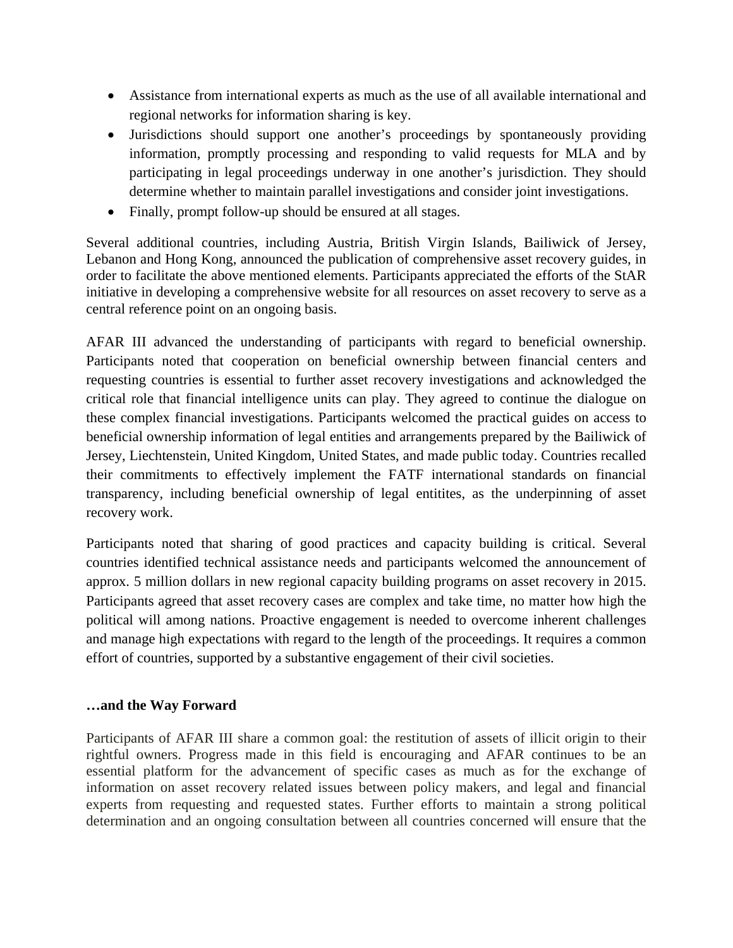- Assistance from international experts as much as the use of all available international and regional networks for information sharing is key.
- Jurisdictions should support one another's proceedings by spontaneously providing information, promptly processing and responding to valid requests for MLA and by participating in legal proceedings underway in one another's jurisdiction. They should determine whether to maintain parallel investigations and consider joint investigations.
- Finally, prompt follow-up should be ensured at all stages.

Several additional countries, including Austria, British Virgin Islands, Bailiwick of Jersey, Lebanon and Hong Kong, announced the publication of comprehensive asset recovery guides, in order to facilitate the above mentioned elements. Participants appreciated the efforts of the StAR initiative in developing a comprehensive website for all resources on asset recovery to serve as a central reference point on an ongoing basis.

AFAR III advanced the understanding of participants with regard to beneficial ownership. Participants noted that cooperation on beneficial ownership between financial centers and requesting countries is essential to further asset recovery investigations and acknowledged the critical role that financial intelligence units can play. They agreed to continue the dialogue on these complex financial investigations. Participants welcomed the practical guides on access to beneficial ownership information of legal entities and arrangements prepared by the Bailiwick of Jersey, Liechtenstein, United Kingdom, United States, and made public today. Countries recalled their commitments to effectively implement the FATF international standards on financial transparency, including beneficial ownership of legal entitites, as the underpinning of asset recovery work.

Participants noted that sharing of good practices and capacity building is critical. Several countries identified technical assistance needs and participants welcomed the announcement of approx. 5 million dollars in new regional capacity building programs on asset recovery in 2015. Participants agreed that asset recovery cases are complex and take time, no matter how high the political will among nations. Proactive engagement is needed to overcome inherent challenges and manage high expectations with regard to the length of the proceedings. It requires a common effort of countries, supported by a substantive engagement of their civil societies.

## **…and the Way Forward**

Participants of AFAR III share a common goal: the restitution of assets of illicit origin to their rightful owners. Progress made in this field is encouraging and AFAR continues to be an essential platform for the advancement of specific cases as much as for the exchange of information on asset recovery related issues between policy makers, and legal and financial experts from requesting and requested states. Further efforts to maintain a strong political determination and an ongoing consultation between all countries concerned will ensure that the